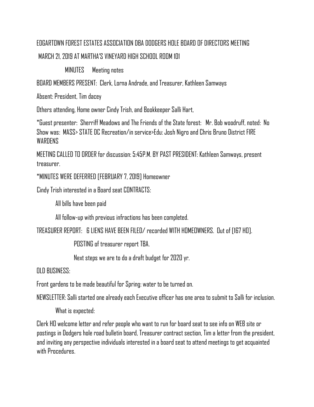## EDGARTOWN FOREST ESTATES ASSOCIATION DBA DODGERS HOLE BOARD OF DIRECTORS MEETING MARCH 21, 2019 AT MARTHA'S VINEYARD HIGH SCHOOL ROOM 101

MINUTES Meeting notes

BOARD MEMBERS PRESENT: Clerk, Lorna Andrade, and Treasurer, Kathleen Samways

Absent: President, Tim dacey

Others attending, Home owner Cindy Trish, and Bookkeeper Salli Hart,

\*Guest presenter: Sherriff Meadows and The Friends of the State forest: Mr. Bob woodruff, noted: No Show was: MASS> STATE DC Recreation/in service>Edu: Josh Nigro and Chris Bruno District FIRE **WARDENS** 

MEETING CALLED TO ORDER for discussion: 5:45P.M. BY PAST PRESIDENT: Kathleen Samways, present treasurer.

\*MINUTES WERE DEFERRED [FEBRUARY 7, 2019] Homeowner

Cindy Trish interested in a Board seat CONTRACTS:

All bills have been paid

All follow-up with previous infractions has been completed.

TREASURER REPORT: 6 LIENS HAVE BEEN FILED/ recorded WITH HOMEOWNERS. Out of [167 HO].

POSTING of treasurer report TBA.

Next steps we are to do a draft budget for 2020 yr.

OLD BUSINESS:

Front gardens to be made beautiful for Spring: water to be turned on.

NEWSLETTER: Salli started one already each Executive officer has one area to submit to Salli for inclusion.

What is expected:

Clerk HO welcome letter and refer people who want to run for board seat to see info on WEB site or postings in Dodgers hole road bulletin board, Treasurer contract section, Tim a letter from the president, and inviting any perspective individuals interested in a board seat to attend meetings to get acquainted with Procedures.